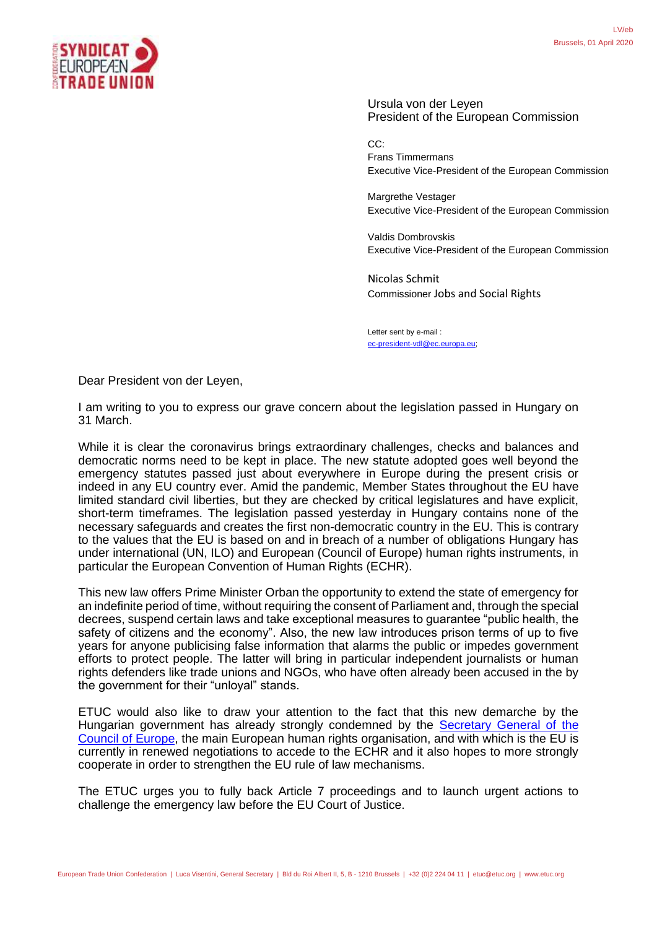

Ursula von der Leyen President of the European Commission

CC: Frans Timmermans Executive Vice-President of the European Commission

Margrethe Vestager Executive Vice-President of the European Commission

Valdis Dombrovskis Executive Vice-President of the European Commission

[Nicolas Schmit](https://ec.europa.eu/commission/commissioners/2019-2024/schmit_en) Commissioner Jobs and Social Rights

Letter sent by e-mail : [ec-president-vdl@ec.europa.eu;](mailto:ec-president-vdl@ec.europa.eu)

Dear President von der Leyen,

I am writing to you to express our grave concern about the legislation passed in Hungary on 31 March.

While it is clear the coronavirus brings extraordinary challenges, checks and balances and democratic norms need to be kept in place. The new statute adopted goes well beyond the emergency statutes passed just about everywhere in Europe during the present crisis or indeed in any EU country ever. Amid the pandemic, Member States throughout the EU have limited standard civil liberties, but they are checked by critical legislatures and have explicit, short-term timeframes. The legislation passed yesterday in Hungary contains none of the necessary safeguards and creates the first non-democratic country in the EU. This is contrary to the values that the EU is based on and in breach of a number of obligations Hungary has under international (UN, ILO) and European (Council of Europe) human rights instruments, in particular the European Convention of Human Rights (ECHR).

This new law offers Prime Minister Orban the opportunity to extend the state of emergency for an indefinite period of time, without requiring the consent of Parliament and, through the special decrees, suspend certain laws and take exceptional measures to guarantee "public health, the safety of citizens and the economy". Also, the new law introduces prison terms of up to five years for anyone publicising false information that alarms the public or impedes government efforts to protect people. The latter will bring in particular independent journalists or human rights defenders like trade unions and NGOs, who have often already been accused in the by the government for their "unloyal" stands.

ETUC would also like to draw your attention to the fact that this new demarche by the Hungarian government has already strongly condemned by the **Secretary General of the** [Council of Europe,](https://www.coe.int/en/web/portal/-/secretary-general-writes-to-victor-orban-regarding-covid-19-state-of-emergency-in-hungary) the main European human rights organisation, and with which is the EU is currently in renewed negotiations to accede to the ECHR and it also hopes to more strongly cooperate in order to strengthen the EU rule of law mechanisms.

The ETUC urges you to fully back Article 7 proceedings and to launch urgent actions to challenge the emergency law before the EU Court of Justice.